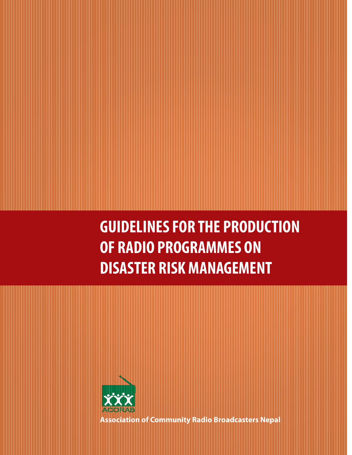**GUIDELINES FOR THE PRODUCTION OF RADIO PROGRAMMES ON DISASTER RISK MANAGEMENT**



**Association of Community Radio Broadcasters Nepal**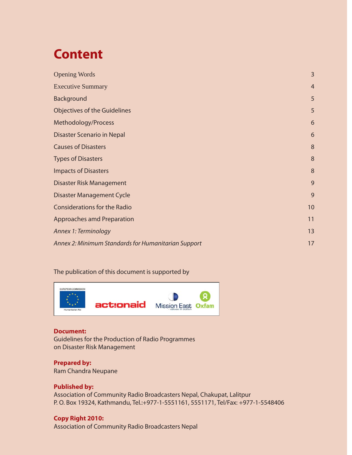# **Content**

| <b>Opening Words</b>                                | 3              |
|-----------------------------------------------------|----------------|
| <b>Executive Summary</b>                            | $\overline{4}$ |
| Background                                          | 5              |
| <b>Objectives of the Guidelines</b>                 | 5              |
| Methodology/Process                                 | 6              |
| Disaster Scenario in Nepal                          | 6              |
| <b>Causes of Disasters</b>                          | 8              |
| <b>Types of Disasters</b>                           | 8              |
| <b>Impacts of Disasters</b>                         | 8              |
| Disaster Risk Management                            | 9              |
| <b>Disaster Management Cycle</b>                    | 9              |
| <b>Considerations for the Radio</b>                 | 10             |
| Approaches amd Preparation                          | 11             |
| Annex 1: Terminology                                | 13             |
| Annex 2: Minimum Standards for Humanitarian Support | 17             |
|                                                     |                |

### The publication of this document is supported by



#### **Document:**

Guidelines for the Production of Radio Programmes on Disaster Risk Management

### **Prepared by:**

Ram Chandra Neupane

#### **Published by:**

Association of Community Radio Broadcasters Nepal, Chakupat, Lalitpur P. O. Box 19324, Kathmandu, Tel.:+977-1-5551161, 5551171, Tel/Fax: +977-1-5548406

#### **Copy Right 2010:**

Association of Community Radio Broadcasters Nepal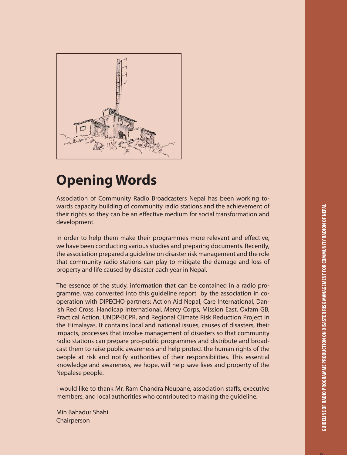Page



# **Opening Words**

Association of Community Radio Broadcasters Nepal has been working towards capacity building of community radio stations and the achievement of their rights so they can be an effective medium for social transformation and development.

In order to help them make their programmes more relevant and effective, we have been conducting various studies and preparing documents. Recently, the association prepared a guideline on disaster risk management and the role that community radio stations can play to mitigate the damage and loss of property and life caused by disaster each year in Nepal.

The essence of the study, information that can be contained in a radio programme, was converted into this guideline report by the association in cooperation with DIPECHO partners: Action Aid Nepal, Care International, Danish Red Cross, Handicap International, Mercy Corps, Mission East, Oxfam GB, Practical Action, UNDP-BCPR, and Regional Climate Risk Reduction Project in the Himalayas. It contains local and national issues, causes of disasters, their impacts, processes that involve management of disasters so that community radio stations can prepare pro-public programmes and distribute and broadcast them to raise public awareness and help protect the human rights of the people at risk and notify authorities of their responsibilities. This essential knowledge and awareness, we hope, will help save lives and property of the Nepalese people.

I would like to thank Mr. Ram Chandra Neupane, association staffs, executive members, and local authorities who contributed to making the guideline.

Min Bahadur Shahi Chairperson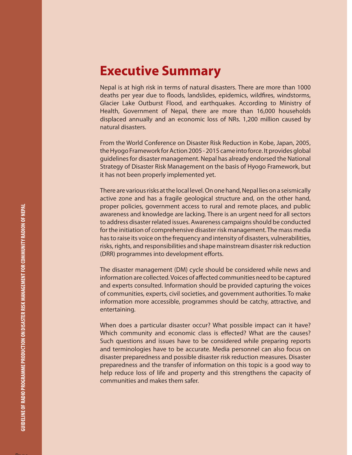### **Executive Summary**

Nepal is at high risk in terms of natural disasters. There are more than 1000 deaths per year due to floods, landslides, epidemics, wildfires, windstorms, Glacier Lake Outburst Flood, and earthquakes. According to Ministry of Health, Government of Nepal, there are more than 16,000 households displaced annually and an economic loss of NRs. 1,200 million caused by natural disasters.

From the World Conference on Disaster Risk Reduction in Kobe, Japan, 2005, the Hyogo Framework for Action 2005 - 2015 came into force. It provides global guidelines for disaster management. Nepal has already endorsed the National Strategy of Disaster Risk Management on the basis of Hyogo Framework, but it has not been properly implemented yet.

There are various risks at the local level. On one hand, Nepal lies on a seismically active zone and has a fragile geological structure and, on the other hand, proper policies, government access to rural and remote places, and public awareness and knowledge are lacking. There is an urgent need for all sectors to address disaster related issues. Awareness campaigns should be conducted for the initiation of comprehensive disaster risk management. The mass media has to raise its voice on the frequency and intensity of disasters, vulnerabilities, risks, rights, and responsibilities and shape mainstream disaster risk reduction (DRR) programmes into development efforts.

The disaster management (DM) cycle should be considered while news and information are collected. Voices of affected communities need to be captured and experts consulted. Information should be provided capturing the voices of communities, experts, civil societies, and government authorities. To make information more accessible, programmes should be catchy, attractive, and entertaining.

When does a particular disaster occur? What possible impact can it have? Which community and economic class is effected? What are the causes? Such questions and issues have to be considered while preparing reports and terminologies have to be accurate. Media personnel can also focus on disaster preparedness and possible disaster risk reduction measures. Disaster preparedness and the transfer of information on this topic is a good way to help reduce loss of life and property and this strengthens the capacity of communities and makes them safer.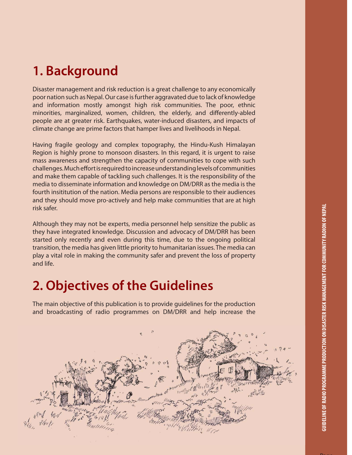## **1. Background**

Disaster management and risk reduction is a great challenge to any economically poor nation such as Nepal. Our case is further aggravated due to lack of knowledge and information mostly amongst high risk communities. The poor, ethnic minorities, marginalized, women, children, the elderly, and differently-abled people are at greater risk. Earthquakes, water-induced disasters, and impacts of climate change are prime factors that hamper lives and livelihoods in Nepal.

Having fragile geology and complex topography, the Hindu-Kush Himalayan Region is highly prone to monsoon disasters. In this regard, it is urgent to raise mass awareness and strengthen the capacity of communities to cope with such challenges. Much effort is required to increase understanding levels of communities and make them capable of tackling such challenges. It is the responsibility of the media to disseminate information and knowledge on DM/DRR as the media is the fourth insititution of the nation. Media persons are responsible to their audiences and they should move pro-actively and help make communities that are at high risk safer.

Although they may not be experts, media personnel help sensitize the public as they have integrated knowledge. Discussion and advocacy of DM/DRR has been started only recently and even during this time, due to the ongoing political transition, the media has given little priority to humanitarian issues. The media can play a vital role in making the community safer and prevent the loss of property and life.

### **2. Objectives of the Guidelines**

The main objective of this publication is to provide guidelines for the production and broadcasting of radio programmes on DM/DRR and help increase the

WINDS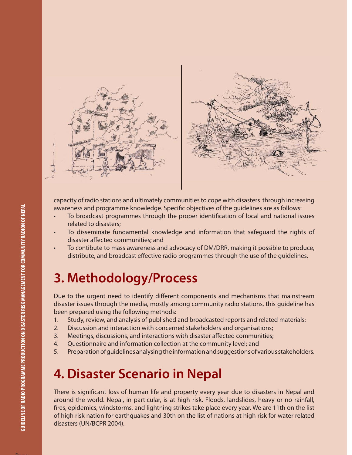

capacity of radio stations and ultimately communities to cope with disasters through increasing awareness and programme knowledge. Specific objectives of the guidelines are as follows:

- To broadcast programmes through the proper identification of local and national issues related to disasters;
- To disseminate fundamental knowledge and information that safeguard the rights of disaster affected communities; and
- To contibute to mass awareness and advocacy of DM/DRR, making it possible to produce, distribute, and broadcast effective radio programmes through the use of the guidelines.

## **3. Methodology/Process**

Due to the urgent need to identify different components and mechanisms that mainstream disaster issues through the media, mostly among community radio stations, this guideline has been prepared using the following methods:

- 1. Study, review, and analysis of published and broadcasted reports and related materials;
- 2. Discussion and interaction with concerned stakeholders and organisations;
- 3. Meetings, discussions, and interactions with disaster affected communities;
- 4. Questionnaire and information collection at the community level; and
- 5. Preparation of guidelines analysing the information and suggestions of various stakeholders.

## **4. Disaster Scenario in Nepal**

There is significant loss of human life and property every year due to disasters in Nepal and around the world. Nepal, in particular, is at high risk. Floods, landslides, heavy or no rainfall, fires, epidemics, windstorms, and lightning strikes take place every year. We are 11th on the list of high risk nation for earthquakes and 30th on the list of nations at high risk for water related disasters (UN/BCPR 2004).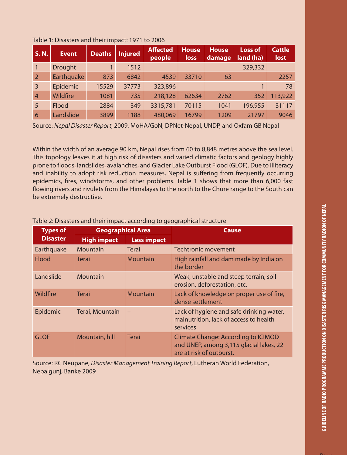| <b>S.N.</b>    | <b>Event</b>   | <b>Deaths</b> | <b>Injured</b> | <b>Affected</b><br>people | <b>House</b><br>loss | <b>House</b><br>damage | <b>Loss of</b><br>land (ha) | <b>Cattle</b><br>lost |
|----------------|----------------|---------------|----------------|---------------------------|----------------------|------------------------|-----------------------------|-----------------------|
|                | <b>Drought</b> |               | 1512           |                           |                      |                        | 329,332                     |                       |
| $\overline{2}$ | Earthquake     | 873           | 6842           | 4539                      | 33710                | 63                     |                             | 2257                  |
| $\overline{3}$ | Epidemic       | 15529         | 37773          | 323,896                   |                      |                        |                             | 78                    |
| $\overline{4}$ | Wildfire       | 1081          | 735            | 218,128                   | 62634                | 2762                   | 352                         | 113,922               |
| 5              | <b>Flood</b>   | 2884          | 349            | 3315,781                  | 70115                | 1041                   | 196,955                     | 31117                 |
| 6              | Landslide      | 3899          | 1188           | 480,069                   | 16799                | 1209                   | 21797                       | 9046                  |

#### Table 1: Disasters and their impact: 1971 to 2006

Source: Nepal Disaster Report, 2009, MoHA/GoN, DPNet-Nepal, UNDP, and Oxfam GB Nepal

Within the width of an average 90 km, Nepal rises from 60 to 8,848 metres above the sea level. This topology leaves it at high risk of disasters and varied climatic factors and geology highly prone to floods, landslides, avalanches, and Glacier Lake Outburst Flood (GLOF). Due to illiteracy and inability to adopt risk reduction measures, Nepal is suffering from frequently occurring epidemics, fires, windstorms, and other problems. Table 1 shows that more than 6,000 fast flowing rivers and rivulets from the Himalayas to the north to the Chure range to the South can be extremely destructive.

| <b>Types of</b> | <b>Geographical Area</b>                 |                 | <b>Cause</b>                                                                                                      |  |  |
|-----------------|------------------------------------------|-----------------|-------------------------------------------------------------------------------------------------------------------|--|--|
| <b>Disaster</b> | <b>Less impact</b><br><b>High impact</b> |                 |                                                                                                                   |  |  |
| Earthquake      | <b>Mountain</b>                          | Terai           | Techtronic movement                                                                                               |  |  |
| <b>Flood</b>    | Terai                                    | <b>Mountain</b> | High rainfall and dam made by India on<br>the border                                                              |  |  |
| Landslide       | <b>Mountain</b>                          |                 | Weak, unstable and steep terrain, soil<br>erosion, deforestation, etc.                                            |  |  |
| Wildfire        | <b>Terai</b>                             | <b>Mountain</b> | Lack of knowledge on proper use of fire,<br>dense settlement                                                      |  |  |
| Epidemic        | Terai, Mountain                          |                 | Lack of hygiene and safe drinking water,<br>malnutrition, lack of access to health<br>services                    |  |  |
| <b>GLOF</b>     | Mountain, hill                           | <b>Terai</b>    | <b>Climate Change: According to ICIMOD</b><br>and UNEP, among 3,115 glacial lakes, 22<br>are at risk of outburst. |  |  |

Table 2: Disasters and their impact according to geographical structure

Source: RC Neupane, Disaster Management Training Report, Lutheran World Federation, Nepalgunj, Banke 2009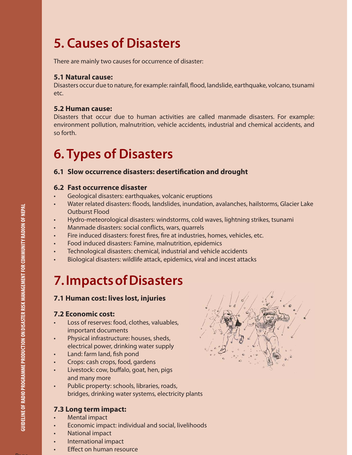## **5. Causes of Disasters**

There are mainly two causes for occurrence of disaster:

### **5.1 Natural cause:**

Disasters occur due to nature, for example: rainfall, flood, landslide, earthquake, volcano, tsunami etc.

### **5.2 Human cause:**

Disasters that occur due to human activities are called manmade disasters. For example: environment pollution, malnutrition, vehicle accidents, industrial and chemical accidents, and so forth.

# **6. Types of Disasters**

### **6.1 Slow occurrence disasters: desertification and drought**

### **6.2 Fast occurrence disaster**

- Geological disasters: earthquakes, volcanic eruptions
- Water related disasters: floods, landslides, inundation, avalanches, hailstorms, Glacier Lake Outburst Flood
- Hydro-meteorological disasters: windstorms, cold waves, lightning strikes, tsunami
- Manmade disasters: social conflicts, wars, quarrels
- Fire induced disasters: forest fires, fire at industries, homes, vehicles, etc.
- Food induced disasters: Famine, malnutrition, epidemics
- Technological disasters: chemical, industrial and vehicle accidents
- Biological disasters: wildlife attack, epidemics, viral and incest attacks

## **7. Impacts of Disasters**

### **7.1 Human cost: lives lost, injuries**

### **7.2 Economic cost:**

- Loss of reserves: food, clothes, valuables, important documents
- Physical infrastructure: houses, sheds, electrical power, drinking water supply
- Land: farm land, fish pond
- Crops: cash crops, food, gardens
- Livestock: cow, buffalo, goat, hen, pigs and many more
- Public property: schools, libraries, roads, bridges, drinking water systems, electricity plants

### **7.3 Long term impact:**

- Mental impact
- Economic impact: individual and social, livelihoods
- National impact
- International impact
- **Effect on human resource**

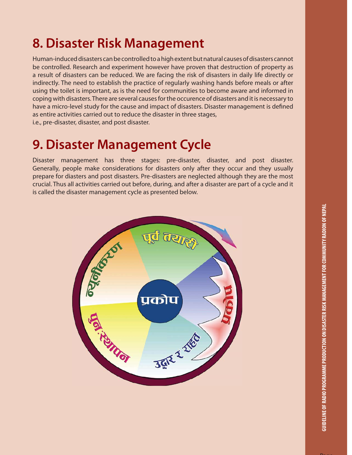## **8. Disaster Risk Management**

Human-induced disasters can be controlled to a high extent but natural causes of disasters cannot be controlled. Research and experiment however have proven that destruction of property as a result of disasters can be reduced. We are facing the risk of disasters in daily life directly or indirectly. The need to establish the practice of regularly washing hands before meals or after using the toilet is important, as is the need for communities to become aware and informed in coping with disasters. There are several causes for the occurence of disasters and it is necessary to have a micro-level study for the cause and impact of disasters. Disaster management is defined as entire activities carried out to reduce the disaster in three stages, i.e., pre-disaster, disaster, and post disaster.

## **9. Disaster Management Cycle**

Disaster management has three stages: pre-disaster, disaster, and post disaster. Generally, people make considerations for disasters only after they occur and they usually prepare for diasters and post disasters. Pre-disasters are neglected although they are the most crucial. Thus all activities carried out before, during, and after a disaster are part of a cycle and it is called the disaster management cycle as presented below.

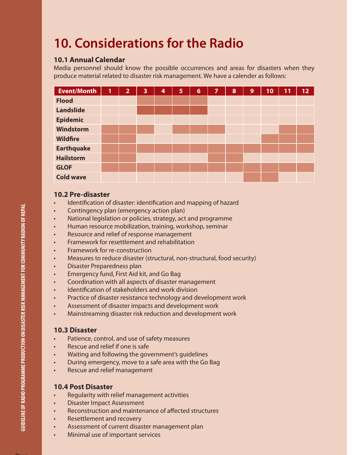# **10. Considerations for the Radio**

### **10.1 Annual Calendar**

Media personnel should know the possible occurrences and areas for disasters when they produce material related to disaster risk management. We have a calender as follows:

| <b>Event/Month</b> | 1 | $\overline{2}$ | 3 | 4 | 5 | $\overline{6}$ | 7 | 8 | 9 | 10 | 11 | 12 |
|--------------------|---|----------------|---|---|---|----------------|---|---|---|----|----|----|
| <b>Flood</b>       |   |                |   |   |   |                |   |   |   |    |    |    |
| <b>Landslide</b>   |   |                |   |   |   |                |   |   |   |    |    |    |
| <b>Epidemic</b>    |   |                |   |   |   |                |   |   |   |    |    |    |
| <b>Windstorm</b>   |   |                |   |   |   |                |   |   |   |    |    |    |
| <b>Wildfire</b>    |   |                |   |   |   |                |   |   |   |    |    |    |
| <b>Earthquake</b>  |   |                |   |   |   |                |   |   |   |    |    |    |
| <b>Hailstorm</b>   |   |                |   |   |   |                |   |   |   |    |    |    |
| <b>GLOF</b>        |   |                |   |   |   |                |   |   |   |    |    |    |
| <b>Cold wave</b>   |   |                |   |   |   |                |   |   |   |    |    |    |

### **10.2 Pre-disaster**

- Identification of disaster: identification and mapping of hazard
- Contingency plan (emergency action plan)
- National legislation or policies, strategy, act and programme
- Human resource mobilization, training, workshop, seminar
- Resource and relief of response management
- Framework for resettlement and rehabilitation
- Framework for re-construction
- Measures to reduce disaster (structural, non-structural, food security)
- Disaster Preparedness plan
- Emergency fund, First Aid kit, and Go Bag
- Coordination with all aspects of disaster management
- Identification of stakeholders and work division
- Practice of disaster resistance technology and development work
- Assessment of disaster impacts and development work
- Mainstreaming disaster risk reduction and development work

### **10.3 Disaster**

- Patience, control, and use of safety measures
- Rescue and relief if one is safe
- Waiting and following the government's guidelines
- During emergency, move to a safe area with the Go Bag
- Rescue and relief management

### **10.4 Post Disaster**

- Regularity with relief management activities
- Disaster Impact Assessment
- Reconstruction and maintenance of affected structures
- Resettlement and recovery
- Assessment of current disaster management plan
- Minimal use of important services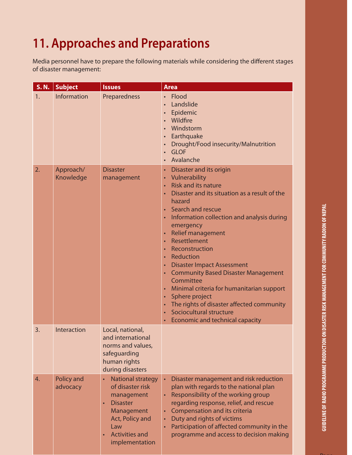# **11. Approaches and Preparations**

Media personnel have to prepare the following materials while considering the different stages of disaster management:

| <b>S.N.</b> | <b>Subject</b>                | <b>Issues</b>                                                                                                                                                                              | <b>Area</b>                                                                                                                                                                                                                                                                                                                                                                                                                                                                                                                                                                                                                                                                                                                        |
|-------------|-------------------------------|--------------------------------------------------------------------------------------------------------------------------------------------------------------------------------------------|------------------------------------------------------------------------------------------------------------------------------------------------------------------------------------------------------------------------------------------------------------------------------------------------------------------------------------------------------------------------------------------------------------------------------------------------------------------------------------------------------------------------------------------------------------------------------------------------------------------------------------------------------------------------------------------------------------------------------------|
| 1.          | <b>Information</b>            | Preparedness                                                                                                                                                                               | Flood<br>$\bullet$<br>Landslide<br>Epidemic<br>Wildfire<br>Windstorm<br>$\bullet$<br>Earthquake<br>$\bullet$<br>Drought/Food insecurity/Malnutrition<br>$\bullet$<br><b>GLOF</b><br>$\bullet$<br>Avalanche                                                                                                                                                                                                                                                                                                                                                                                                                                                                                                                         |
| 2.          | Approach/<br>Knowledge        | <b>Disaster</b><br>management                                                                                                                                                              | Disaster and its origin<br>Vulnerability<br>$\bullet$<br><b>Risk and its nature</b><br>$\bullet$<br>Disaster and its situation as a result of the<br>hazard<br>Search and rescue<br>Information collection and analysis during<br>$\bullet$<br>emergency<br><b>Relief management</b><br>Resettlement<br>$\bullet$<br>Reconstruction<br>$\bullet$<br>Reduction<br>$\bullet$<br><b>Disaster Impact Assessment</b><br>$\bullet$<br><b>Community Based Disaster Management</b><br>$\bullet$<br>Committee<br>Minimal criteria for humanitarian support<br>$\bullet$<br>Sphere project<br>$\bullet$<br>The rights of disaster affected community<br>$\bullet$<br>Sociocultural structure<br>Economic and technical capacity<br>$\bullet$ |
| 3.          | Interaction                   | Local, national,<br>and international<br>norms and values,<br>safeguarding<br>human rights<br>during disasters                                                                             |                                                                                                                                                                                                                                                                                                                                                                                                                                                                                                                                                                                                                                                                                                                                    |
| 4.          | <b>Policy and</b><br>advocacy | <b>National strategy</b><br>of disaster risk<br>management<br><b>Disaster</b><br>$\bullet$<br>Management<br>Act, Policy and<br>Law<br><b>Activities and</b><br>$\bullet$<br>implementation | Disaster management and risk reduction<br>plan with regards to the national plan<br>Responsibility of the working group<br>regarding response, relief, and rescue<br>Compensation and its criteria<br>Duty and rights of victims<br>$\bullet$<br>Participation of affected community in the<br>programme and access to decision making                                                                                                                                                                                                                                                                                                                                                                                             |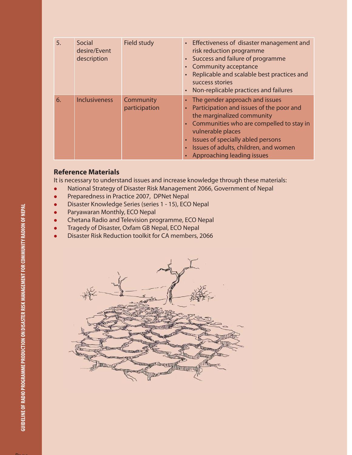| 5. | Social<br>desire/Event<br>description | Field study                | • Effectiveness of disaster management and<br>risk reduction programme<br>• Success and failure of programme<br><b>Community acceptance</b><br>Replicable and scalable best practices and<br>success stories<br>Non-replicable practices and failures                                   |
|----|---------------------------------------|----------------------------|-----------------------------------------------------------------------------------------------------------------------------------------------------------------------------------------------------------------------------------------------------------------------------------------|
| 6. | <b>Inclusiveness</b>                  | Community<br>participation | The gender approach and issues<br>Participation and issues of the poor and<br>the marginalized community<br>• Communities who are compelled to stay in<br>vulnerable places<br>Issues of specially abled persons<br>Issues of adults, children, and women<br>Approaching leading issues |

### **Reference Materials**

It is necessary to understand issues and increase knowledge through these materials:

- National Strategy of Disaster Risk Management 2066, Government of Nepal
- **•** Preparedness in Practice 2007, DPNet Nepal
- Disaster Knowledge Series (series 1 15), ECO Nepal
- Paryawaran Monthly, ECO Nepal
- Chetana Radio and Television programme, ECO Nepal
- Tragedy of Disaster, Oxfam GB Nepal, ECO Nepal
- Disaster Risk Reduction toolkit for CA members, 2066

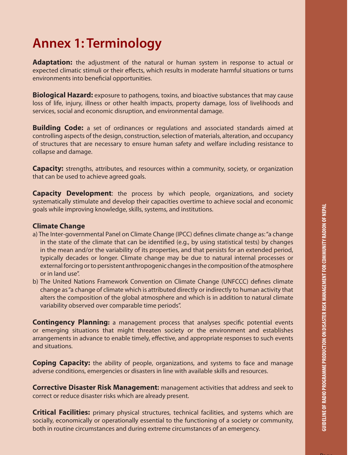## **Annex 1: Terminology**

**Adaptation:** the adjustment of the natural or human system in response to actual or expected climatic stimuli or their effects, which results in moderate harmful situations or turns environments into beneficial opportunities.

**Biological Hazard:** exposure to pathogens, toxins, and bioactive substances that may cause loss of life, injury, illness or other health impacts, property damage, loss of livelihoods and services, social and economic disruption, and environmental damage.

**Building Code:** a set of ordinances or regulations and associated standards aimed at controlling aspects of the design, construction, selection of materials, alteration, and occupancy of structures that are necessary to ensure human safety and welfare including resistance to collapse and damage.

**Capacity:** strengths, attributes, and resources within a community, society, or organization that can be used to achieve agreed goals.

**Capacity Development**: the process by which people, organizations, and society systematically stimulate and develop their capacities overtime to achieve social and economic goals while improving knowledge, skills, systems, and institutions.

### **Climate Change**

- a) The Inter-governmental Panel on Climate Change (IPCC) defines climate change as: "a change in the state of the climate that can be identified (e.g., by using statistical tests) by changes in the mean and/or the variability of its properties, and that persists for an extended period, typically decades or longer. Climate change may be due to natural internal processes or external forcing or to persistent anthropogenic changes in the composition of the atmosphere or in land use".
- b) The United Nations Framework Convention on Climate Change (UNFCCC) defines climate change as "a change of climate which is attributed directly or indirectly to human activity that alters the composition of the global atmosphere and which is in addition to natural climate variability observed over comparable time periods".

**Contingency Planning:** a management process that analyses specific potential events or emerging situations that might threaten society or the environment and establishes arrangements in advance to enable timely, effective, and appropriate responses to such events and situations.

**Coping Capacity:** the ability of people, organizations, and systems to face and manage adverse conditions, emergencies or disasters in line with available skills and resources.

**Corrective Disaster Risk Management:** management activities that address and seek to correct or reduce disaster risks which are already present.

**Critical Facilities:** primary physical structures, technical facilities, and systems which are socially, economically or operationally essential to the functioning of a society or community, both in routine circumstances and during extreme circumstances of an emergency.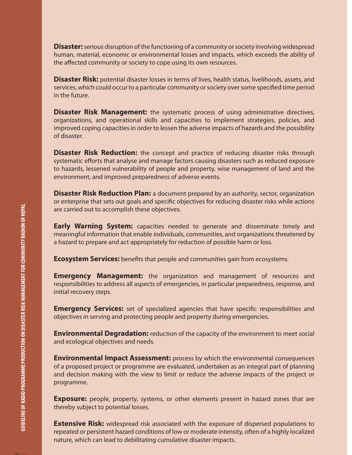**Disaster:** serious disruption of the functioning of a community or society involving widespread human, material, economic or environmental losses and impacts, which exceeds the ability of the affected community or society to cope using its own resources.

**Disaster Risk:** potential disaster losses in terms of lives, health status, livelihoods, assets, and services, which could occur to a particular community or society over some specified time period in the future.

**Disaster Risk Management:** the systematic process of using administrative directives, organizations, and operational skills and capacities to implement strategies, policies, and improved coping capacities in order to lessen the adverse impacts of hazards and the possibility of disaster.

**Disaster Risk Reduction:** the concept and practice of reducing disaster risks through systematic efforts that analyse and manage factors causing disasters such as reduced exposure to hazards, lessened vulnerability of people and property, wise management of land and the environment, and improved preparedness of adverse events.

**Disaster Risk Reduction Plan:** a document prepared by an authority, sector, organization or enterprise that sets out goals and specific objectives for reducing disaster risks while actions are carried out to accomplish these objectives.

**Early Warning System:** capacities needed to generate and disseminate timely and meaningful information that enable individuals, communities, and organizations threatened by a hazard to prepare and act appropriately for reduction of possible harm or loss.

**Ecosystem Services:** benefits that people and communities gain from ecosystems.

**Emergency Management:** the organization and management of resources and responsibilities to address all aspects of emergencies, in particular preparedness, response, and initial recovery steps.

**Emergency Services:** set of specialized agencies that have specific responsibilities and objectives in serving and protecting people and property during emergencies.

**Environmental Degradation:** reduction of the capacity of the environment to meet social and ecological objectives and needs.

**Environmental Impact Assessment:** process by which the environmental consequences of a proposed project or programme are evaluated, undertaken as an integral part of planning and decision making with the view to limit or reduce the adverse impacts of the project or programme.

**Exposure:** people, property, systems, or other elements present in hazard zones that are thereby subject to potential losses.

**Extensive Risk:** widespread risk associated with the exposure of dispersed populations to repeated or persistent hazard conditions of low or moderate intensity, often of a highly localized nature, which can lead to debilitating cumulative disaster impacts.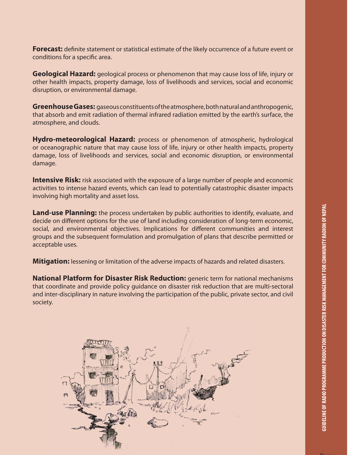Page

**Forecast:** definite statement or statistical estimate of the likely occurrence of a future event or conditions for a specific area.

**Geological Hazard:** geological process or phenomenon that may cause loss of life, injury or other health impacts, property damage, loss of livelihoods and services, social and economic disruption, or environmental damage.

**Greenhouse Gases:** gaseous constituents of the atmosphere, both natural and anthropogenic, that absorb and emit radiation of thermal infrared radiation emitted by the earth's surface, the atmosphere, and clouds.

**Hydro-meteorological Hazard:** process or phenomenon of atmospheric, hydrological or oceanographic nature that may cause loss of life, injury or other health impacts, property damage, loss of livelihoods and services, social and economic disruption, or environmental damage.

**Intensive Risk:** risk associated with the exposure of a large number of people and economic activities to intense hazard events, which can lead to potentially catastrophic disaster impacts involving high mortality and asset loss.

**Land-use Planning:** the process undertaken by public authorities to identify, evaluate, and decide on different options for the use of land including consideration of long-term economic, social, and environmental objectives. Implications for different communities and interest groups and the subsequent formulation and promulgation of plans that describe permitted or acceptable uses.

**Mitigation:** lessening or limitation of the adverse impacts of hazards and related disasters.

**National Platform for Disaster Risk Reduction:** generic term for national mechanisms that coordinate and provide policy guidance on disaster risk reduction that are multi-sectoral and inter-disciplinary in nature involving the participation of the public, private sector, and civil society.

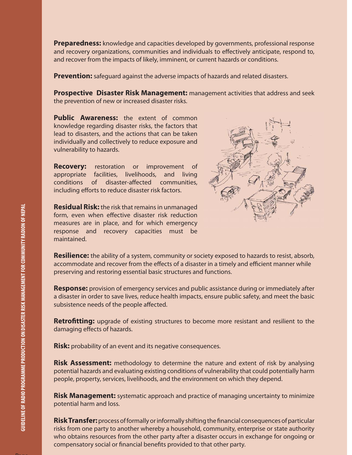**Preparedness:** knowledge and capacities developed by governments, professional response and recovery organizations, communities and individuals to effectively anticipate, respond to, and recover from the impacts of likely, imminent, or current hazards or conditions.

**Prevention:** safeguard against the adverse impacts of hazards and related disasters.

**Prospective Disaster Risk Management:** management activities that address and seek the prevention of new or increased disaster risks.

**Public Awareness:** the extent of common knowledge regarding disaster risks, the factors that lead to disasters, and the actions that can be taken individually and collectively to reduce exposure and vulnerability to hazards.

**Recovery:** restoration or improvement of appropriate facilities, livelihoods, and living conditions of disaster-affected communities, including efforts to reduce disaster risk factors.

**Residual Risk:** the risk that remains in unmanaged form, even when effective disaster risk reduction measures are in place, and for which emergency response and recovery capacities must be maintained.



**Resilience:** the ability of a system, community or society exposed to hazards to resist, absorb, accommodate and recover from the effects of a disaster in a timely and efficient manner while preserving and restoring essential basic structures and functions.

**Response:** provision of emergency services and public assistance during or immediately after a disaster in order to save lives, reduce health impacts, ensure public safety, and meet the basic subsistence needs of the people affected.

**Retrofitting:** upgrade of existing structures to become more resistant and resilient to the damaging effects of hazards.

**Risk:** probability of an event and its negative consequences.

**Risk Assessment:** methodology to determine the nature and extent of risk by analysing potential hazards and evaluating existing conditions of vulnerability that could potentially harm people, property, services, livelihoods, and the environment on which they depend.

**Risk Management:** systematic approach and practice of managing uncertainty to minimize potential harm and loss.

**Risk Transfer:** process of formally or informally shifting the financial consequences of particular risks from one party to another whereby a household, community, enterprise or state authority who obtains resources from the other party after a disaster occurs in exchange for ongoing or compensatory social or financial benefits provided to that other party.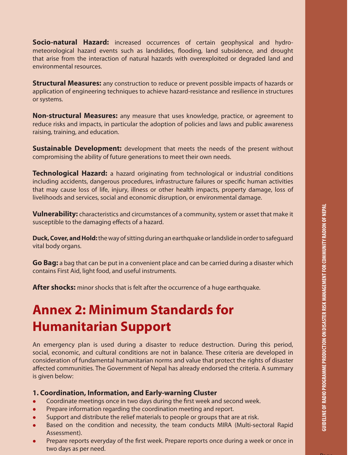**Socio-natural Hazard:** increased occurrences of certain geophysical and hydrometeorological hazard events such as landslides, flooding, land subsidence, and drought that arise from the interaction of natural hazards with overexploited or degraded land and environmental resources.

**Structural Measures:** any construction to reduce or prevent possible impacts of hazards or application of engineering techniques to achieve hazard-resistance and resilience in structures or systems.

**Non-structural Measures:** any measure that uses knowledge, practice, or agreement to reduce risks and impacts, in particular the adoption of policies and laws and public awareness raising, training, and education.

**Sustainable Development:** development that meets the needs of the present without compromising the ability of future generations to meet their own needs.

**Technological Hazard:** a hazard originating from technological or industrial conditions including accidents, dangerous procedures, infrastructure failures or specific human activities that may cause loss of life, injury, illness or other health impacts, property damage, loss of livelihoods and services, social and economic disruption, or environmental damage.

**Vulnerability:** characteristics and circumstances of a community, system or asset that make it susceptible to the damaging effects of a hazard.

**Duck, Cover, and Hold:** the way of sitting during an earthquake or landslide in order to safeguard vital body organs.

**Go Bag:** a bag that can be put in a convenient place and can be carried during a disaster which contains First Aid, light food, and useful instruments.

**After shocks:** minor shocks that is felt after the occurrence of a huge earthquake.

## **Annex 2: Minimum Standards for Humanitarian Support**

An emergency plan is used during a disaster to reduce destruction. During this period, social, economic, and cultural conditions are not in balance. These criteria are developed in consideration of fundamental humanitarian norms and value that protect the rights of disaster affected communities. The Government of Nepal has already endorsed the criteria. A summary is given below:

#### **1. Coordination, Information, and Early-warning Cluster**

- Coordinate meetings once in two days during the first week and second week.
- **•** Prepare information regarding the coordination meeting and report.
- Support and distribute the relief materials to people or groups that are at risk.
- Based on the condition and necessity, the team conducts MIRA (Multi-sectoral Rapid Assessment).
- $\bullet$  Prepare reports everyday of the first week. Prepare reports once during a week or once in two days as per need.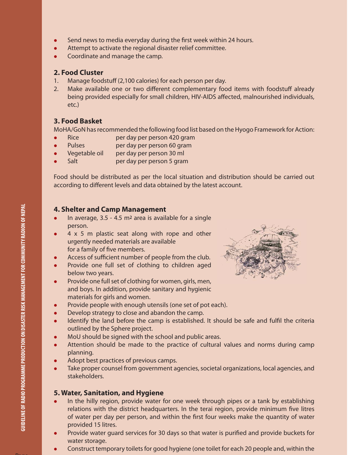- $\bullet$  Send news to media everyday during the first week within 24 hours.
- Attempt to activate the regional disaster relief committee.
- Coordinate and manage the camp.

### **2. Food Cluster**

- 1. Manage foodstuff (2,100 calories) for each person per day.
- 2. Make available one or two different complementary food items with foodstuff already being provided especially for small children, HIV-AIDS affected, malnourished individuals, etc.)

### **3. Food Basket**

MoHA/GoN has recommended the following food list based on the Hyogo Framework for Action:

- Rice per day per person 420 gram
- Pulses per day per person 60 gram
- Vegetable oil per day per person 30 ml
- Salt per day per person 5 gram

Food should be distributed as per the local situation and distribution should be carried out according to different levels and data obtained by the latest account.

### **4. Shelter and Camp Management**

- $\bullet$  In average, 3.5 4.5 m<sup>2</sup> area is available for a single person.
- 4 x 5 m plastic seat along with rope and other urgently needed materials are available for a family of five members.
- Access of sufficient number of people from the club.
- Provide one full set of clothing to children aged below two years.
- Provide one full set of clothing for women, girls, men, and boys. In addition, provide sanitary and hygienic materials for girls and women.
- Provide people with enough utensils (one set of pot each).
- Develop strategy to close and abandon the camp.
- Identify the land before the camp is established. It should be safe and fulfil the criteria outlined by the Sphere project.
- MoU should be signed with the school and public areas.
- Attention should be made to the practice of cultural values and norms during camp planning.
- Adopt best practices of previous camps.
- Take proper counsel from government agencies, societal organizations, local agencies, and stakeholders.

### **5. Water, Sanitation, and Hygiene**

- In the hilly region, provide water for one week through pipes or a tank by establishing relations with the district headquarters. In the terai region, provide minimum five litres of water per day per person, and within the first four weeks make the quantity of water provided 15 litres.
- Provide water guard services for 30 days so that water is purified and provide buckets for water storage.
- Construct temporary toilets for good hygiene (one toilet for each 20 people and, within the

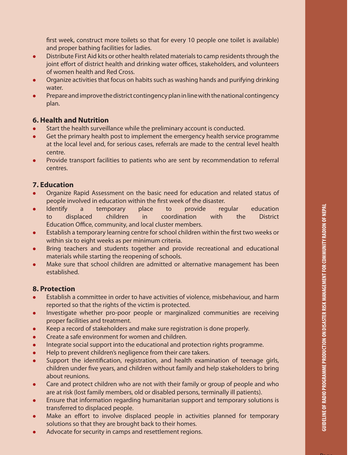first week, construct more toilets so that for every 10 people one toilet is available) and proper bathing facilities for ladies.

- Distribute First Aid kits or other health related materials to camp residents through the joint effort of district health and drinking water offices, stakeholders, and volunteers of women health and Red Cross.
- Organize activities that focus on habits such as washing hands and purifying drinking water.
- **•** Prepare and improve the district contingency plan in line with the national contingency plan.

### **6. Health and Nutrition**

- Start the health surveillance while the preliminary account is conducted.
- Get the primary health post to implement the emergency health service programme at the local level and, for serious cases, referrals are made to the central level health centre.
- Provide transport facilities to patients who are sent by recommendation to referral centres.

### **7. Education**

- Organize Rapid Assessment on the basic need for education and related status of people involved in education within the first week of the disaster.
- Identify a temporary place to provide regular education to displaced children in coordination with the District Education Office, community, and local cluster members.
- Establish a temporary learning centre for school children within the first two weeks or within six to eight weeks as per minimum criteria.
- Bring teachers and students together and provide recreational and educational materials while starting the reopening of schools.
- Make sure that school children are admitted or alternative management has been established.

### **8. Protection**

- Establish a committee in order to have activities of violence, misbehaviour, and harm reported so that the rights of the victim is protected.
- Investigate whether pro-poor people or marginalized communities are receiving proper facilities and treatment.
- Keep a record of stakeholders and make sure registration is done properly.
- **•** Create a safe environment for women and children.
- Integrate social support into the educational and protection rights programme.
- Help to prevent children's negligence from their care takers.
- Support the identification, registration, and health examination of teenage girls, children under five years, and children without family and help stakeholders to bring about reunions.
- Care and protect children who are not with their family or group of people and who are at risk (lost family members, old or disabled persons, terminally ill patients).
- Ensure that information regarding humanitarian support and temporary solutions is transferred to displaced people.
- Make an effort to involve displaced people in activities planned for temporary solutions so that they are brought back to their homes.
- Advocate for security in camps and resettlement regions.